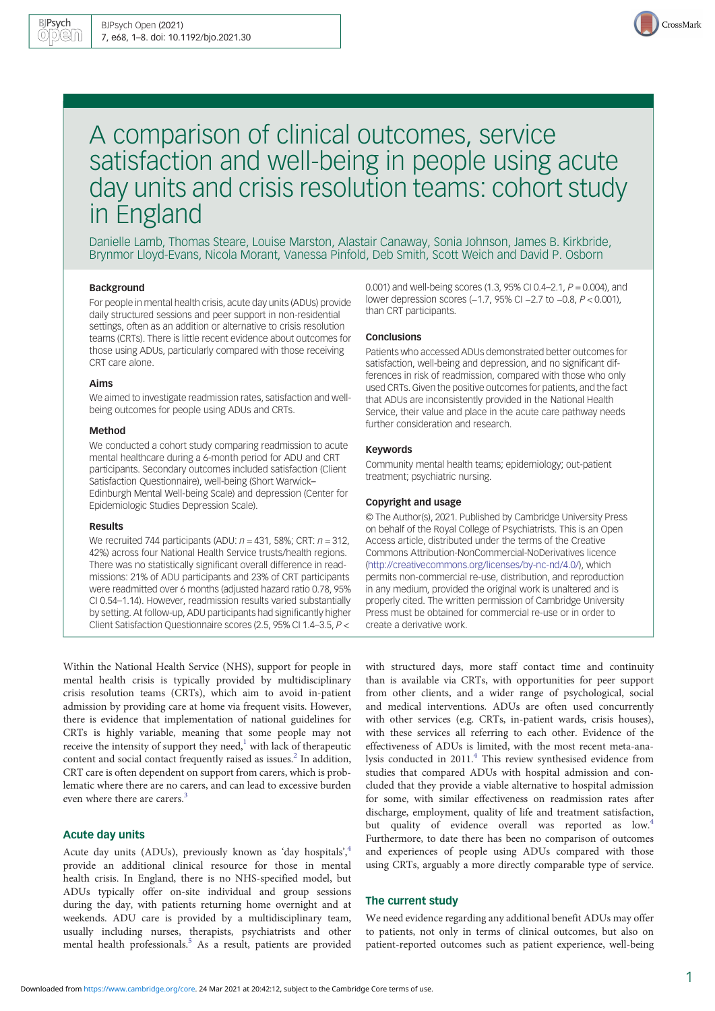

# A comparison of clinical outcomes, service satisfaction and well-being in people using acute day units and crisis resolution teams: cohort study in England

Danielle Lamb, Thomas Steare, Louise Marston, Alastair Canaway, Sonia Johnson, James B. Kirkbride, Brynmor Lloyd-Evans, Nicola Morant, Vanessa Pinfold, Deb Smith, Scott Weich and David P. Osborn

## Background

For people in mental health crisis, acute day units (ADUs) provide daily structured sessions and peer support in non-residential settings, often as an addition or alternative to crisis resolution teams (CRTs). There is little recent evidence about outcomes for those using ADUs, particularly compared with those receiving CRT care alone.

#### Aims

We aimed to investigate readmission rates, satisfaction and wellbeing outcomes for people using ADUs and CRTs.

#### Method

We conducted a cohort study comparing readmission to acute mental healthcare during a 6-month period for ADU and CRT participants. Secondary outcomes included satisfaction (Client Satisfaction Questionnaire), well-being (Short Warwick– Edinburgh Mental Well-being Scale) and depression (Center for Epidemiologic Studies Depression Scale).

#### Results

We recruited 744 participants (ADU:  $n = 431$ , 58%; CRT:  $n = 312$ , 42%) across four National Health Service trusts/health regions. There was no statistically significant overall difference in readmissions: 21% of ADU participants and 23% of CRT participants were readmitted over 6 months (adjusted hazard ratio 0.78, 95% CI 0.54–1.14). However, readmission results varied substantially by setting. At follow-up, ADU participants had significantly higher Client Satisfaction Questionnaire scores (2.5, 95% CI 1.4–3.5, P <

Within the National Health Service (NHS), support for people in mental health crisis is typically provided by multidisciplinary crisis resolution teams (CRTs), which aim to avoid in-patient admission by providing care at home via frequent visits. However, there is evidence that implementation of national guidelines for CRTs is highly variable, meaning that some people may not receive the intensity of support they need, $1$  with lack of therapeutic content and social contact frequently raised as issues.<sup>[2](#page-7-0)</sup> In addition, CRT care is often dependent on support from carers, which is problematic where there are no carers, and can lead to excessive burden even where there are carers.<sup>[3](#page-7-0)</sup>

## Acute day units

Acute day units (ADUs), previously known as 'day hospitals', [4](#page-7-0) provide an additional clinical resource for those in mental health crisis. In England, there is no NHS-specified model, but ADUs typically offer on-site individual and group sessions during the day, with patients returning home overnight and at weekends. ADU care is provided by a multidisciplinary team, usually including nurses, therapists, psychiatrists and other mental health professionals.<sup>[5](#page-7-0)</sup> As a result, patients are provided

0.001) and well-being scores (1.3, 95% CI 0.4–2.1,  $P = 0.004$ ), and lower depression scores (−1.7, 95% CI −2.7 to −0.8, P < 0.001), than CRT participants.

## Conclusions

Patients who accessed ADUs demonstrated better outcomes for satisfaction, well-being and depression, and no significant differences in risk of readmission, compared with those who only used CRTs. Given the positive outcomes for patients, and the fact that ADUs are inconsistently provided in the National Health Service, their value and place in the acute care pathway needs further consideration and research.

#### Keywords

Community mental health teams; epidemiology; out-patient treatment; psychiatric nursing.

#### Copyright and usage

© The Author(s), 2021. Published by Cambridge University Press on behalf of the Royal College of Psychiatrists. This is an Open Access article, distributed under the terms of the Creative Commons Attribution-NonCommercial-NoDerivatives licence [\(http://creativecommons.org/licenses/by-nc-nd/4.0/](http://creativecommons.org/licenses/by-nc-nd/4.0/)), which permits non-commercial re-use, distribution, and reproduction in any medium, provided the original work is unaltered and is properly cited. The written permission of Cambridge University Press must be obtained for commercial re-use or in order to create a derivative work.

with structured days, more staff contact time and continuity than is available via CRTs, with opportunities for peer support from other clients, and a wider range of psychological, social and medical interventions. ADUs are often used concurrently with other services (e.g. CRTs, in-patient wards, crisis houses), with these services all referring to each other. Evidence of the effectiveness of ADUs is limited, with the most recent meta-analysis conducted in 2011.[4](#page-7-0) This review synthesised evidence from studies that compared ADUs with hospital admission and concluded that they provide a viable alternative to hospital admission for some, with similar effectiveness on readmission rates after discharge, employment, quality of life and treatment satisfaction, but quality of evidence overall was reported as low.<sup>4</sup> Furthermore, to date there has been no comparison of outcomes and experiences of people using ADUs compared with those using CRTs, arguably a more directly comparable type of service.

## The current study

We need evidence regarding any additional benefit ADUs may offer to patients, not only in terms of clinical outcomes, but also on patient-reported outcomes such as patient experience, well-being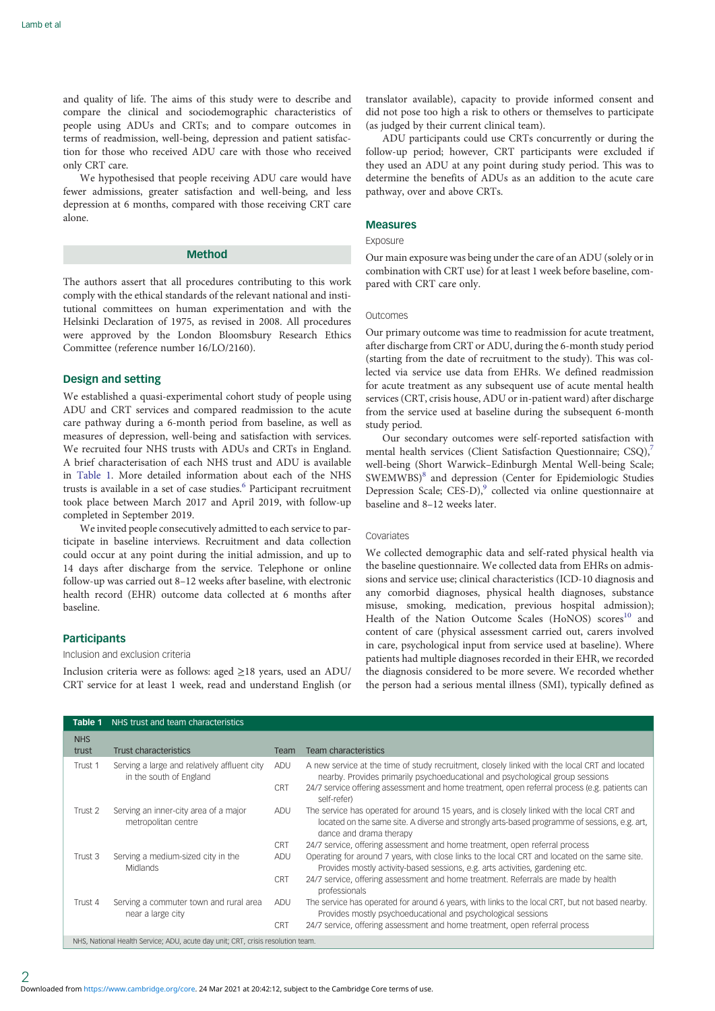and quality of life. The aims of this study were to describe and compare the clinical and sociodemographic characteristics of people using ADUs and CRTs; and to compare outcomes in terms of readmission, well-being, depression and patient satisfaction for those who received ADU care with those who received only CRT care.

We hypothesised that people receiving ADU care would have fewer admissions, greater satisfaction and well-being, and less depression at 6 months, compared with those receiving CRT care alone.

## Method

The authors assert that all procedures contributing to this work comply with the ethical standards of the relevant national and institutional committees on human experimentation and with the Helsinki Declaration of 1975, as revised in 2008. All procedures were approved by the London Bloomsbury Research Ethics Committee (reference number 16/LO/2160).

#### Design and setting

We established a quasi-experimental cohort study of people using ADU and CRT services and compared readmission to the acute care pathway during a 6-month period from baseline, as well as measures of depression, well-being and satisfaction with services. We recruited four NHS trusts with ADUs and CRTs in England. A brief characterisation of each NHS trust and ADU is available in Table 1. More detailed information about each of the NHS trusts is available in a set of case studies.<sup>[6](#page-7-0)</sup> Participant recruitment took place between March 2017 and April 2019, with follow-up completed in September 2019.

We invited people consecutively admitted to each service to participate in baseline interviews. Recruitment and data collection could occur at any point during the initial admission, and up to 14 days after discharge from the service. Telephone or online follow-up was carried out 8–12 weeks after baseline, with electronic health record (EHR) outcome data collected at 6 months after baseline.

### **Participants**

Inclusion and exclusion criteria

Inclusion criteria were as follows: aged ≥18 years, used an ADU/ CRT service for at least 1 week, read and understand English (or translator available), capacity to provide informed consent and did not pose too high a risk to others or themselves to participate (as judged by their current clinical team).

ADU participants could use CRTs concurrently or during the follow-up period; however, CRT participants were excluded if they used an ADU at any point during study period. This was to determine the benefits of ADUs as an addition to the acute care pathway, over and above CRTs.

#### Measures

## Exposure

Our main exposure was being under the care of an ADU (solely or in combination with CRT use) for at least 1 week before baseline, compared with CRT care only.

#### Outcomes

Our primary outcome was time to readmission for acute treatment, after discharge from CRT or ADU, during the 6-month study period (starting from the date of recruitment to the study). This was collected via service use data from EHRs. We defined readmission for acute treatment as any subsequent use of acute mental health services (CRT, crisis house, ADU or in-patient ward) after discharge from the service used at baseline during the subsequent 6-month study period.

Our secondary outcomes were self-reported satisfaction with mental health services (Client Satisfaction Questionnaire; CSQ),<sup>[7](#page-7-0)</sup> well-being (Short Warwick–Edinburgh Mental Well-being Scale; SWEMWBS)[8](#page-7-0) and depression (Center for Epidemiologic Studies Depression Scale; CES-D),<sup>9</sup> collected via online questionnaire at baseline and 8–12 weeks later.

## Covariates

We collected demographic data and self-rated physical health via the baseline questionnaire. We collected data from EHRs on admissions and service use; clinical characteristics (ICD-10 diagnosis and any comorbid diagnoses, physical health diagnoses, substance misuse, smoking, medication, previous hospital admission); Health of the Nation Outcome Scales (HoNOS) scores<sup>10</sup> and content of care (physical assessment carried out, carers involved in care, psychological input from service used at baseline). Where patients had multiple diagnoses recorded in their EHR, we recorded the diagnosis considered to be more severe. We recorded whether the person had a serious mental illness (SMI), typically defined as

| Table 1                                                                         | NHS trust and team characteristics                                      |            |                                                                                                                                                                                                                       |  |  |  |  |
|---------------------------------------------------------------------------------|-------------------------------------------------------------------------|------------|-----------------------------------------------------------------------------------------------------------------------------------------------------------------------------------------------------------------------|--|--|--|--|
| <b>NHS</b><br>trust                                                             | <b>Trust characteristics</b>                                            | Team       | <b>Team characteristics</b>                                                                                                                                                                                           |  |  |  |  |
|                                                                                 |                                                                         |            |                                                                                                                                                                                                                       |  |  |  |  |
| Trust 1                                                                         | Serving a large and relatively affluent city<br>in the south of England | <b>ADU</b> | A new service at the time of study recruitment, closely linked with the local CRT and located<br>nearby. Provides primarily psychoeducational and psychological group sessions                                        |  |  |  |  |
|                                                                                 |                                                                         | <b>CRT</b> | 24/7 service offering assessment and home treatment, open referral process (e.g. patients can<br>self-refer)                                                                                                          |  |  |  |  |
| Trust 2                                                                         | Serving an inner-city area of a major<br>metropolitan centre            | <b>ADU</b> | The service has operated for around 15 years, and is closely linked with the local CRT and<br>located on the same site. A diverse and strongly arts-based programme of sessions, e.g. art,<br>dance and drama therapy |  |  |  |  |
|                                                                                 |                                                                         | <b>CRT</b> | 24/7 service, offering assessment and home treatment, open referral process                                                                                                                                           |  |  |  |  |
| Trust 3                                                                         | Serving a medium-sized city in the<br><b>Midlands</b>                   | ADU        | Operating for around 7 years, with close links to the local CRT and located on the same site.<br>Provides mostly activity-based sessions, e.g. arts activities, gardening etc.                                        |  |  |  |  |
|                                                                                 |                                                                         | <b>CRT</b> | 24/7 service, offering assessment and home treatment. Referrals are made by health<br>professionals                                                                                                                   |  |  |  |  |
| Trust 4                                                                         | Serving a commuter town and rural area<br>near a large city             | <b>ADU</b> | The service has operated for around 6 years, with links to the local CRT, but not based nearby.<br>Provides mostly psychoeducational and psychological sessions                                                       |  |  |  |  |
|                                                                                 |                                                                         | <b>CRT</b> | 24/7 service, offering assessment and home treatment, open referral process                                                                                                                                           |  |  |  |  |
| NHS, National Health Service; ADU, acute day unit; CRT, crisis resolution team. |                                                                         |            |                                                                                                                                                                                                                       |  |  |  |  |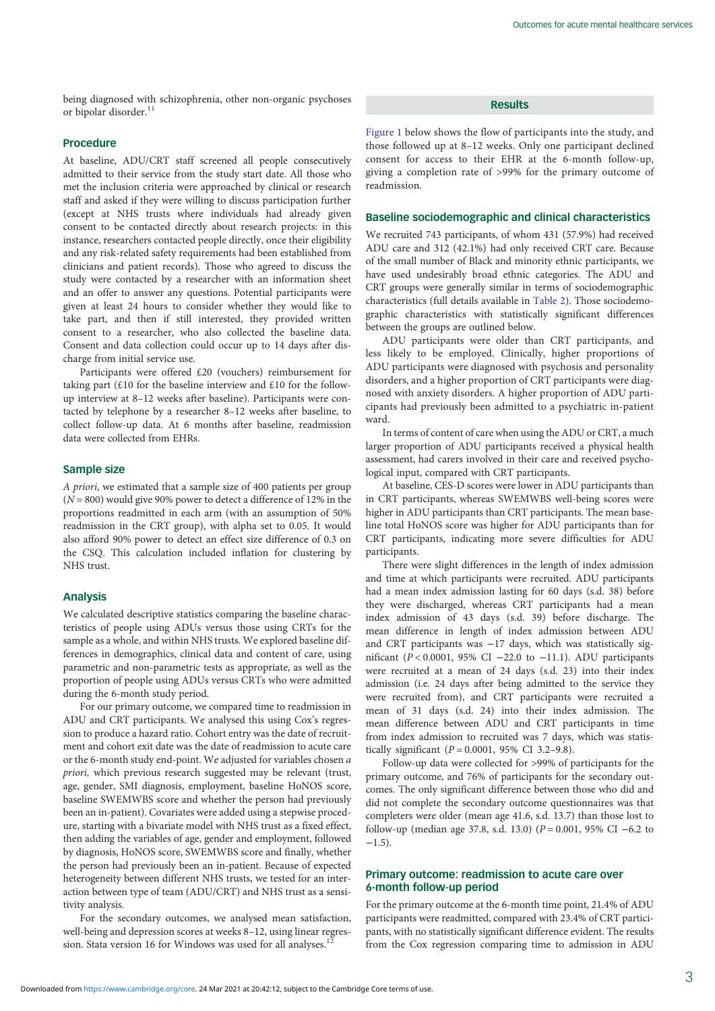being diagnosed with schizophrenia, other non-organic psychoses or bipolar disorder.<sup>[11](#page-7-0)</sup>

#### Procedure

At baseline, ADU/CRT staff screened all people consecutively admitted to their service from the study start date. All those who met the inclusion criteria were approached by clinical or research staff and asked if they were willing to discuss participation further (except at NHS trusts where individuals had already given consent to be contacted directly about research projects: in this instance, researchers contacted people directly, once their eligibility and any risk-related safety requirements had been established from clinicians and patient records). Those who agreed to discuss the study were contacted by a researcher with an information sheet and an offer to answer any questions. Potential participants were given at least 24 hours to consider whether they would like to take part, and then if still interested, they provided written consent to a researcher, who also collected the baseline data. Consent and data collection could occur up to 14 days after discharge from initial service use.

Participants were offered £20 (vouchers) reimbursement for taking part (£10 for the baseline interview and £10 for the followup interview at 8–12 weeks after baseline). Participants were contacted by telephone by a researcher 8–12 weeks after baseline, to collect follow-up data. At 6 months after baseline, readmission data were collected from EHRs.

## Sample size

A priori, we estimated that a sample size of 400 patients per group  $(N = 800)$  would give 90% power to detect a difference of 12% in the proportions readmitted in each arm (with an assumption of 50% readmission in the CRT group), with alpha set to 0.05. It would also afford 90% power to detect an effect size difference of 0.3 on the CSQ. This calculation included inflation for clustering by NHS trust.

### Analysis

We calculated descriptive statistics comparing the baseline characteristics of people using ADUs versus those using CRTs for the sample as a whole, and within NHS trusts. We explored baseline differences in demographics, clinical data and content of care, using parametric and non-parametric tests as appropriate, as well as the proportion of people using ADUs versus CRTs who were admitted during the 6-month study period.

For our primary outcome, we compared time to readmission in ADU and CRT participants. We analysed this using Cox's regression to produce a hazard ratio. Cohort entry was the date of recruitment and cohort exit date was the date of readmission to acute care or the 6-month study end-point. We adjusted for variables chosen a priori, which previous research suggested may be relevant (trust, age, gender, SMI diagnosis, employment, baseline HoNOS score, baseline SWEMWBS score and whether the person had previously been an in-patient). Covariates were added using a stepwise procedure, starting with a bivariate model with NHS trust as a fixed effect, then adding the variables of age, gender and employment, followed by diagnosis, HoNOS score, SWEMWBS score and finally, whether the person had previously been an in-patient. Because of expected heterogeneity between different NHS trusts, we tested for an interaction between type of team (ADU/CRT) and NHS trust as a sensitivity analysis.

For the secondary outcomes, we analysed mean satisfaction, well-being and depression scores at weeks 8–12, using linear regression. Stata version 16 for Windows was used for all analyses.<sup>1</sup>

Results

[Figure 1](#page-3-0) below shows the flow of participants into the study, and those followed up at 8–12 weeks. Only one participant declined consent for access to their EHR at the 6-month follow-up, giving a completion rate of >99% for the primary outcome of readmission.

#### Baseline sociodemographic and clinical characteristics

We recruited 743 participants, of whom 431 (57.9%) had received ADU care and 312 (42.1%) had only received CRT care. Because of the small number of Black and minority ethnic participants, we have used undesirably broad ethnic categories. The ADU and CRT groups were generally similar in terms of sociodemographic characteristics (full details available in [Table 2\)](#page-4-0). Those sociodemographic characteristics with statistically significant differences between the groups are outlined below.

ADU participants were older than CRT participants, and less likely to be employed. Clinically, higher proportions of ADU participants were diagnosed with psychosis and personality disorders, and a higher proportion of CRT participants were diagnosed with anxiety disorders. A higher proportion of ADU participants had previously been admitted to a psychiatric in-patient ward.

In terms of content of care when using the ADU or CRT, a much larger proportion of ADU participants received a physical health assessment, had carers involved in their care and received psychological input, compared with CRT participants.

At baseline, CES-D scores were lower in ADU participants than in CRT participants, whereas SWEMWBS well-being scores were higher in ADU participants than CRT participants. The mean baseline total HoNOS score was higher for ADU participants than for CRT participants, indicating more severe difficulties for ADU participants.

There were slight differences in the length of index admission and time at which participants were recruited. ADU participants had a mean index admission lasting for 60 days (s.d. 38) before they were discharged, whereas CRT participants had a mean index admission of 43 days (s.d. 39) before discharge. The mean difference in length of index admission between ADU and CRT participants was −17 days, which was statistically significant ( $P < 0.0001$ , 95% CI −22.0 to −11.1). ADU participants were recruited at a mean of 24 days (s.d. 23) into their index admission (i.e. 24 days after being admitted to the service they were recruited from), and CRT participants were recruited a mean of 31 days (s.d. 24) into their index admission. The mean difference between ADU and CRT participants in time from index admission to recruited was 7 days, which was statistically significant ( $P = 0.0001$ , 95% CI 3.2-9.8).

Follow-up data were collected for >99% of participants for the primary outcome, and 76% of participants for the secondary outcomes. The only significant difference between those who did and did not complete the secondary outcome questionnaires was that completers were older (mean age 41.6, s.d. 13.7) than those lost to follow-up (median age 37.8, s.d. 13.0) ( $P = 0.001$ , 95% CI –6.2 to  $-1.5$ ).

## Primary outcome: readmission to acute care over 6-month follow-up period

For the primary outcome at the 6-month time point, 21.4% of ADU participants were readmitted, compared with 23.4% of CRT participants, with no statistically significant difference evident. The results from the Cox regression comparing time to admission in ADU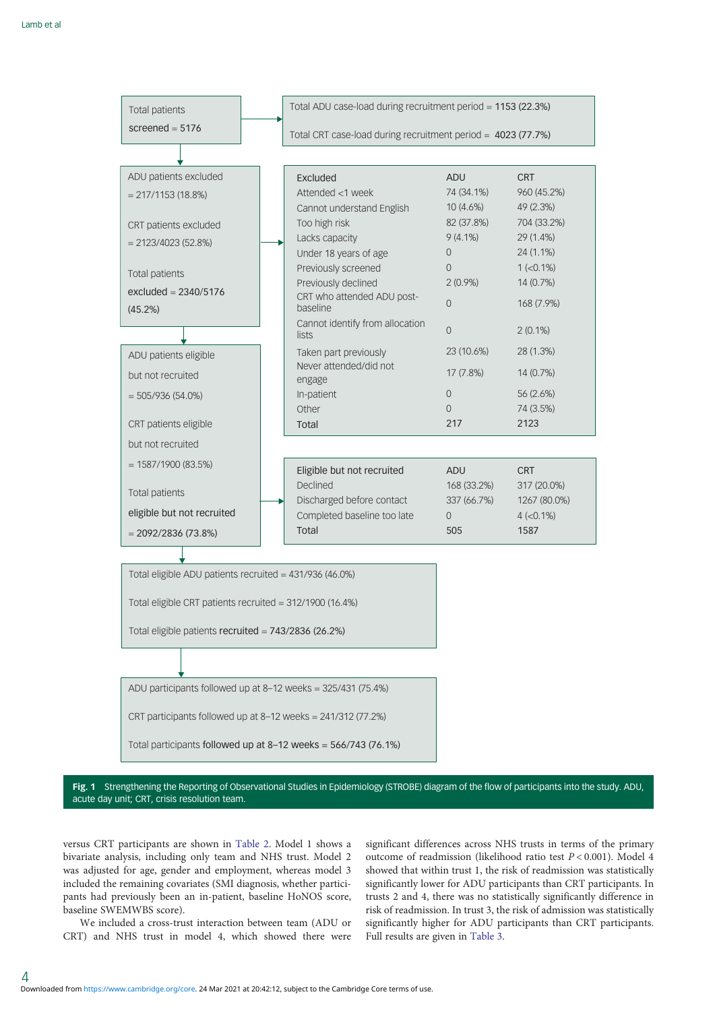<span id="page-3-0"></span>

ADU participants followed up at 8–12 weeks = 325/431 (75.4%)

CRT participants followed up at 8–12 weeks = 241/312 (77.2%)

Total participants followed up at 8–12 weeks = 566/743 (76.1%)

Fig. 1 Strengthening the Reporting of Observational Studies in Epidemiology (STROBE) diagram of the flow of participants into the study. ADU, acute day unit; CRT, crisis resolution team.

versus CRT participants are shown in [Table 2.](#page-4-0) Model 1 shows a bivariate analysis, including only team and NHS trust. Model 2 was adjusted for age, gender and employment, whereas model 3 included the remaining covariates (SMI diagnosis, whether participants had previously been an in-patient, baseline HoNOS score, baseline SWEMWBS score).

We included a cross-trust interaction between team (ADU or CRT) and NHS trust in model 4, which showed there were

4

significant differences across NHS trusts in terms of the primary outcome of readmission (likelihood ratio test P < 0.001). Model 4 showed that within trust 1, the risk of readmission was statistically significantly lower for ADU participants than CRT participants. In trusts 2 and 4, there was no statistically significantly difference in risk of readmission. In trust 3, the risk of admission was statistically significantly higher for ADU participants than CRT participants. Full results are given in [Table 3](#page-5-0).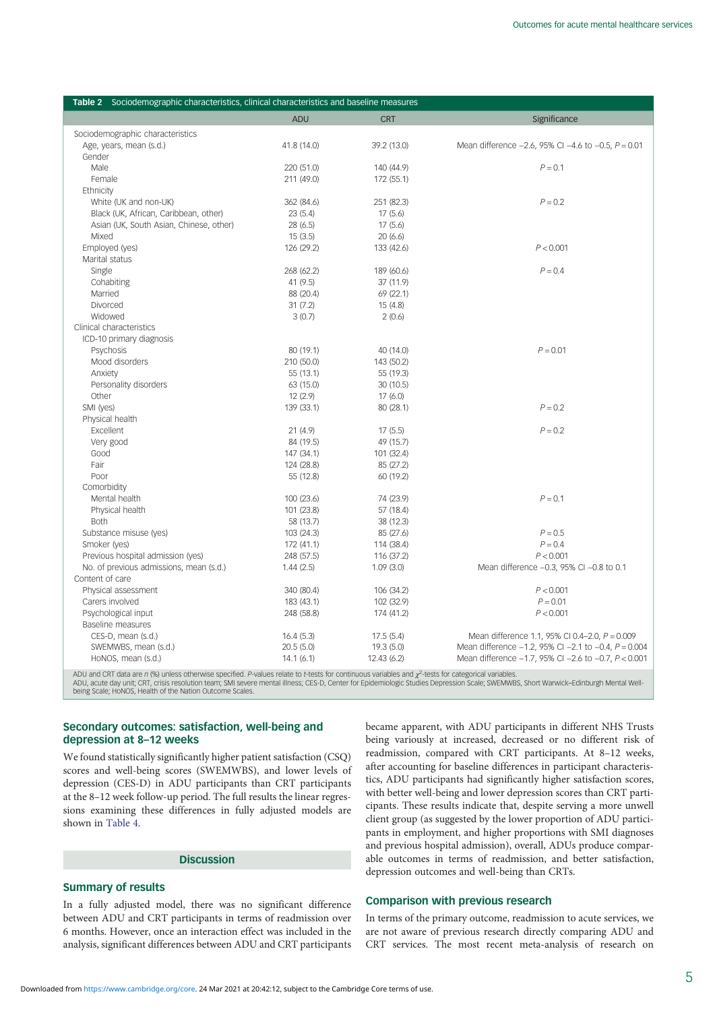<span id="page-4-0"></span>

| Table 2 Sociodemographic characteristics, clinical characteristics and baseline measures |             |             |                                                                |  |  |  |  |  |
|------------------------------------------------------------------------------------------|-------------|-------------|----------------------------------------------------------------|--|--|--|--|--|
|                                                                                          | <b>ADU</b>  | <b>CRT</b>  | Significance                                                   |  |  |  |  |  |
| Sociodemographic characteristics                                                         |             |             |                                                                |  |  |  |  |  |
| Age, years, mean (s.d.)                                                                  | 41.8 (14.0) | 39.2 (13.0) | Mean difference $-2.6$ , 95% CI $-4.6$ to $-0.5$ , $P = 0.01$  |  |  |  |  |  |
| Gender                                                                                   |             |             |                                                                |  |  |  |  |  |
| Male                                                                                     | 220 (51.0)  | 140 (44.9)  | $P = 0.1$                                                      |  |  |  |  |  |
| Female                                                                                   | 211 (49.0)  | 172 (55.1)  |                                                                |  |  |  |  |  |
| Ethnicity                                                                                |             |             |                                                                |  |  |  |  |  |
| White (UK and non-UK)                                                                    | 362 (84.6)  | 251 (82.3)  | $P = 0.2$                                                      |  |  |  |  |  |
| Black (UK, African, Caribbean, other)                                                    | 23(5.4)     | 17(5.6)     |                                                                |  |  |  |  |  |
| Asian (UK, South Asian, Chinese, other)                                                  | 28 (6.5)    | 17(5.6)     |                                                                |  |  |  |  |  |
| Mixed                                                                                    | 15(3.5)     | 20(6.6)     |                                                                |  |  |  |  |  |
| Employed (yes)                                                                           | 126 (29.2)  | 133 (42.6)  | P < 0.001                                                      |  |  |  |  |  |
| Marital status                                                                           |             |             |                                                                |  |  |  |  |  |
| Single                                                                                   | 268 (62.2)  | 189 (60.6)  | $P = 0.4$                                                      |  |  |  |  |  |
| Cohabiting                                                                               | 41 (9.5)    | 37 (11.9)   |                                                                |  |  |  |  |  |
| Married                                                                                  | 88 (20.4)   | 69 (22.1)   |                                                                |  |  |  |  |  |
| Divorced                                                                                 | 31(7.2)     | 15(4.8)     |                                                                |  |  |  |  |  |
| Widowed                                                                                  | 3(0.7)      | 2(0.6)      |                                                                |  |  |  |  |  |
| Clinical characteristics                                                                 |             |             |                                                                |  |  |  |  |  |
| ICD-10 primary diagnosis                                                                 |             |             |                                                                |  |  |  |  |  |
| Psychosis                                                                                | 80 (19.1)   | 40 (14.0)   | $P = 0.01$                                                     |  |  |  |  |  |
| Mood disorders                                                                           | 210 (50.0)  | 143 (50.2)  |                                                                |  |  |  |  |  |
| Anxiety                                                                                  | 55 (13.1)   | 55 (19.3)   |                                                                |  |  |  |  |  |
| Personality disorders                                                                    | 63 (15.0)   | 30(10.5)    |                                                                |  |  |  |  |  |
| Other                                                                                    | 12(2.9)     | 17(6.0)     |                                                                |  |  |  |  |  |
| SMI (yes)                                                                                | 139 (33.1)  | 80 (28.1)   | $P = 0.2$                                                      |  |  |  |  |  |
| Physical health                                                                          |             |             |                                                                |  |  |  |  |  |
| Excellent                                                                                | 21(4.9)     | 17(5.5)     | $P = 0.2$                                                      |  |  |  |  |  |
| Very good                                                                                | 84 (19.5)   | 49 (15.7)   |                                                                |  |  |  |  |  |
| Good                                                                                     | 147 (34.1)  | 101 (32.4)  |                                                                |  |  |  |  |  |
| Fair                                                                                     | 124 (28.8)  | 85 (27.2)   |                                                                |  |  |  |  |  |
| Poor                                                                                     | 55 (12.8)   | 60 (19.2)   |                                                                |  |  |  |  |  |
| Comorbidity                                                                              |             |             |                                                                |  |  |  |  |  |
| Mental health                                                                            | 100 (23.6)  | 74 (23.9)   | $P = 0.1$                                                      |  |  |  |  |  |
| Physical health                                                                          | 101 (23.8)  | 57 (18.4)   |                                                                |  |  |  |  |  |
| <b>Both</b>                                                                              | 58 (13.7)   | 38 (12.3)   |                                                                |  |  |  |  |  |
| Substance misuse (yes)                                                                   | 103 (24.3)  | 85 (27.6)   | $P = 0.5$                                                      |  |  |  |  |  |
| Smoker (yes)                                                                             | 172 (41.1)  | 114 (38.4)  | $P = 0.4$                                                      |  |  |  |  |  |
| Previous hospital admission (yes)                                                        | 248 (57.5)  | 116 (37.2)  | P < 0.001                                                      |  |  |  |  |  |
| No. of previous admissions, mean (s.d.)                                                  | 1.44(2.5)   | 1.09(3.0)   | Mean difference -0.3, 95% CI -0.8 to 0.1                       |  |  |  |  |  |
| Content of care                                                                          |             |             |                                                                |  |  |  |  |  |
| Physical assessment                                                                      | 340 (80.4)  | 106 (34.2)  | P < 0.001                                                      |  |  |  |  |  |
| Carers involved                                                                          | 183 (43.1)  | 102 (32.9)  | $P = 0.01$                                                     |  |  |  |  |  |
| Psychological input                                                                      | 248 (58.8)  | 174 (41.2)  | P < 0.001                                                      |  |  |  |  |  |
| Baseline measures                                                                        |             |             |                                                                |  |  |  |  |  |
| CES-D, mean (s.d.)                                                                       | 16.4(5.3)   | 17.5(5.4)   | Mean difference 1.1, 95% CI 0.4-2.0, $P = 0.009$               |  |  |  |  |  |
| SWEMWBS, mean (s.d.)                                                                     | 20.5(5.0)   | 19.3 (5.0)  | Mean difference $-1.2$ , 95% CI $-2.1$ to $-0.4$ , $P = 0.004$ |  |  |  |  |  |
| HoNOS, mean (s.d.)                                                                       | 14.1(6.1)   | 12.43(6.2)  | Mean difference -1.7, 95% CI -2.6 to -0.7, P < 0.001           |  |  |  |  |  |
|                                                                                          |             |             |                                                                |  |  |  |  |  |

ADU and CRT data are n (%) unless otherwise specified. P-values relate to t-tests for continuous variables and  $\chi^2$ -tests for categorical variables.

ADU, acute day unit; CRT, crisis resolution team; SMI severe mental illness; CES-D, Center for Epidemiologic Studies Depression Scale; SWEMWBS, Short Warwick–Edinburgh Mental Well-<br>being Scale; HoNOS, Health of the Nation

## Secondary outcomes: satisfaction, well-being and depression at 8–12 weeks

We found statistically significantly higher patient satisfaction (CSQ) scores and well-being scores (SWEMWBS), and lower levels of depression (CES-D) in ADU participants than CRT participants at the 8–12 week follow-up period. The full results the linear regressions examining these differences in fully adjusted models are shown in [Table 4](#page-5-0).

# **Discussion**

# Summary of results

In a fully adjusted model, there was no significant difference between ADU and CRT participants in terms of readmission over 6 months. However, once an interaction effect was included in the analysis, significant differences between ADU and CRT participants

became apparent, with ADU participants in different NHS Trusts being variously at increased, decreased or no different risk of readmission, compared with CRT participants. At 8–12 weeks, after accounting for baseline differences in participant characteristics, ADU participants had significantly higher satisfaction scores, with better well-being and lower depression scores than CRT participants. These results indicate that, despite serving a more unwell client group (as suggested by the lower proportion of ADU participants in employment, and higher proportions with SMI diagnoses and previous hospital admission), overall, ADUs produce comparable outcomes in terms of readmission, and better satisfaction, depression outcomes and well-being than CRTs.

## Comparison with previous research

In terms of the primary outcome, readmission to acute services, we are not aware of previous research directly comparing ADU and CRT services. The most recent meta-analysis of research on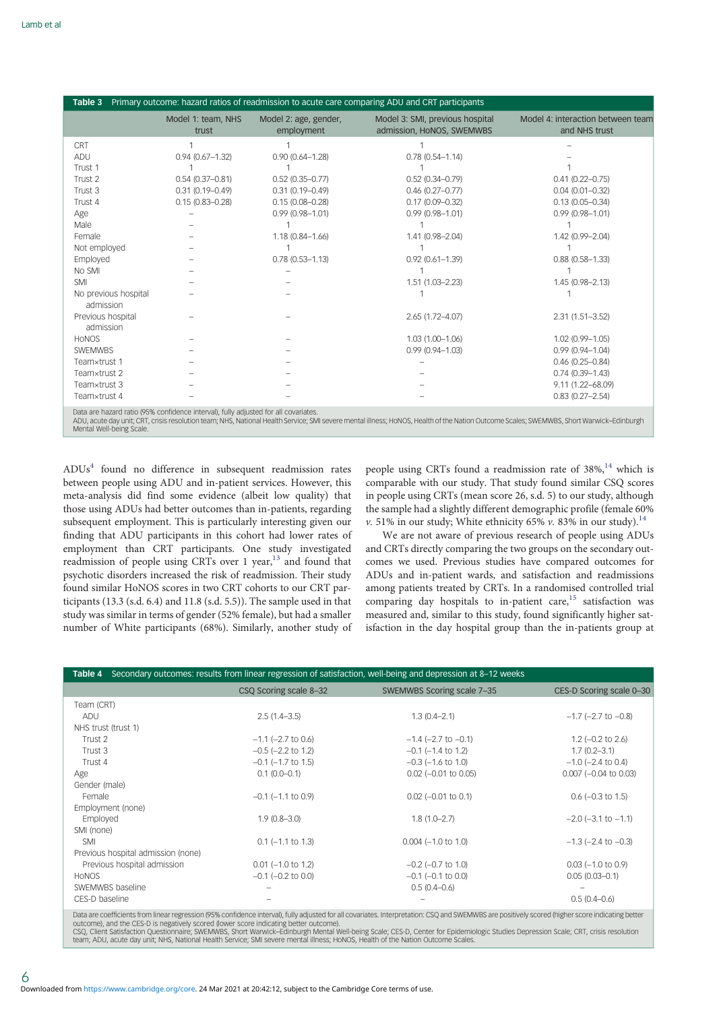<span id="page-5-0"></span>

| Primary outcome: hazard ratios of readmission to acute care comparing ADU and CRT participants<br>Table 3 |                                                                                     |                                     |                                                              |                                                    |  |  |  |
|-----------------------------------------------------------------------------------------------------------|-------------------------------------------------------------------------------------|-------------------------------------|--------------------------------------------------------------|----------------------------------------------------|--|--|--|
|                                                                                                           | Model 1: team, NHS<br>trust                                                         | Model 2: age, gender,<br>employment | Model 3: SMI, previous hospital<br>admission, HoNOS, SWEMWBS | Model 4: interaction between team<br>and NHS trust |  |  |  |
| CRT                                                                                                       |                                                                                     |                                     |                                                              |                                                    |  |  |  |
| ADU                                                                                                       | $0.94(0.67 - 1.32)$                                                                 | $0.90(0.64 - 1.28)$                 | $0.78(0.54 - 1.14)$                                          |                                                    |  |  |  |
| Trust 1                                                                                                   |                                                                                     |                                     |                                                              |                                                    |  |  |  |
| Trust 2                                                                                                   | $0.54(0.37 - 0.81)$                                                                 | $0.52(0.35 - 0.77)$                 | $0.52(0.34 - 0.79)$                                          | $0.41(0.22 - 0.75)$                                |  |  |  |
| Trust 3                                                                                                   | $0.31(0.19 - 0.49)$                                                                 | $0.31(0.19 - 0.49)$                 | $0.46(0.27 - 0.77)$                                          | $0.04(0.01 - 0.32)$                                |  |  |  |
| Trust 4                                                                                                   | $0.15(0.83 - 0.28)$                                                                 | $0.15(0.08 - 0.28)$                 | $0.17(0.09 - 0.32)$                                          | $0.13(0.05 - 0.34)$                                |  |  |  |
| Age                                                                                                       |                                                                                     | $0.99(0.98 - 1.01)$                 | $0.99(0.98 - 1.01)$                                          | $0.99(0.98 - 1.01)$                                |  |  |  |
| Male                                                                                                      |                                                                                     |                                     |                                                              |                                                    |  |  |  |
| Female                                                                                                    |                                                                                     | $1.18(0.84 - 1.66)$                 | $1.41(0.98 - 2.04)$                                          | 1.42 (0.99-2.04)                                   |  |  |  |
| Not employed                                                                                              |                                                                                     |                                     |                                                              |                                                    |  |  |  |
| Employed                                                                                                  |                                                                                     | $0.78(0.53 - 1.13)$                 | $0.92(0.61 - 1.39)$                                          | $0.88(0.58 - 1.33)$                                |  |  |  |
| No SMI                                                                                                    |                                                                                     |                                     |                                                              |                                                    |  |  |  |
| <b>SMI</b>                                                                                                |                                                                                     |                                     | $1.51(1.03 - 2.23)$                                          | $1.45(0.98 - 2.13)$                                |  |  |  |
| No previous hospital<br>admission                                                                         |                                                                                     |                                     |                                                              |                                                    |  |  |  |
| Previous hospital<br>admission                                                                            |                                                                                     |                                     | $2.65(1.72 - 4.07)$                                          | $2.31(1.51 - 3.52)$                                |  |  |  |
| <b>HONOS</b>                                                                                              |                                                                                     |                                     | $1.03(1.00 - 1.06)$                                          | 1.02 (0.99-1.05)                                   |  |  |  |
| <b>SWEMWBS</b>                                                                                            |                                                                                     |                                     | $0.99(0.94 - 1.03)$                                          | $0.99(0.94 - 1.04)$                                |  |  |  |
| Teamxtrust 1                                                                                              |                                                                                     |                                     |                                                              | $0.46(0.25 - 0.84)$                                |  |  |  |
| Teamxtrust 2                                                                                              |                                                                                     |                                     |                                                              | $0.74(0.39 - 1.43)$                                |  |  |  |
| Teamxtrust 3                                                                                              |                                                                                     |                                     |                                                              | 9.11 (1.22-68.09)                                  |  |  |  |
| Teamxtrust 4                                                                                              |                                                                                     |                                     |                                                              | $0.83(0.27 - 2.54)$                                |  |  |  |
|                                                                                                           | Data are hazard ratio (95% confidence interval), fully adjusted for all covariates. |                                     |                                                              |                                                    |  |  |  |

ute day unit; CRT, crisis resolution team; NHS, National Health Service; SMI severe mental illness; HoNOS, Health of the Nation Outcome Scales; SWEMWBS, Short Warwick–Edinburgh Mental Well-being Scale.

ADU[s4](#page-7-0) found no difference in subsequent readmission rates between people using ADU and in-patient services. However, this meta-analysis did find some evidence (albeit low quality) that those using ADUs had better outcomes than in-patients, regarding subsequent employment. This is particularly interesting given our finding that ADU participants in this cohort had lower rates of employment than CRT participants. One study investigated readmission of people using CRTs over 1 year,<sup>[13](#page-7-0)</sup> and found that psychotic disorders increased the risk of readmission. Their study found similar HoNOS scores in two CRT cohorts to our CRT participants (13.3 (s.d. 6.4) and 11.8 (s.d. 5.5)). The sample used in that study was similar in terms of gender (52% female), but had a smaller number of White participants (68%). Similarly, another study of people using CRTs found a readmission rate of  $38\%$ ,<sup>[14](#page-7-0)</sup> which is comparable with our study. That study found similar CSQ scores in people using CRTs (mean score 26, s.d. 5) to our study, although the sample had a slightly different demographic profile (female 60% v. 51% in our study; White ethnicity 65% v. 83% in our study).<sup>[14](#page-7-0)</sup>

We are not aware of previous research of people using ADUs and CRTs directly comparing the two groups on the secondary outcomes we used. Previous studies have compared outcomes for ADUs and in-patient wards, and satisfaction and readmissions among patients treated by CRTs. In a randomised controlled trial comparing day hospitals to in-patient care,<sup>[15](#page-7-0)</sup> satisfaction was measured and, similar to this study, found significantly higher satisfaction in the day hospital group than the in-patients group at

| Table 4                                                                                                                                                                                                                                                                                                                                                                                                                                                                                                                     |                            | Secondary outcomes: results from linear regression of satisfaction, well-being and depression at 8-12 weeks |                             |  |  |  |
|-----------------------------------------------------------------------------------------------------------------------------------------------------------------------------------------------------------------------------------------------------------------------------------------------------------------------------------------------------------------------------------------------------------------------------------------------------------------------------------------------------------------------------|----------------------------|-------------------------------------------------------------------------------------------------------------|-----------------------------|--|--|--|
|                                                                                                                                                                                                                                                                                                                                                                                                                                                                                                                             | CSQ Scoring scale 8-32     | SWEMWBS Scoring scale 7-35                                                                                  | CES-D Scoring scale 0-30    |  |  |  |
| Team (CRT)                                                                                                                                                                                                                                                                                                                                                                                                                                                                                                                  |                            |                                                                                                             |                             |  |  |  |
| ADU                                                                                                                                                                                                                                                                                                                                                                                                                                                                                                                         | $2.5(1.4-3.5)$             | $1.3(0.4 - 2.1)$                                                                                            | $-1.7$ ( $-2.7$ to $-0.8$ ) |  |  |  |
| NHS trust (trust 1)                                                                                                                                                                                                                                                                                                                                                                                                                                                                                                         |                            |                                                                                                             |                             |  |  |  |
| Trust 2                                                                                                                                                                                                                                                                                                                                                                                                                                                                                                                     | $-1.1$ ( $-2.7$ to 0.6)    | $-1.4$ ( $-2.7$ to $-0.1$ )                                                                                 | $1.2$ (-0.2 to 2.6)         |  |  |  |
| Trust 3                                                                                                                                                                                                                                                                                                                                                                                                                                                                                                                     | $-0.5$ ( $-2.2$ to 1.2)    | $-0.1$ ( $-1.4$ to 1.2)                                                                                     | $1.7(0.2 - 3.1)$            |  |  |  |
| Trust 4                                                                                                                                                                                                                                                                                                                                                                                                                                                                                                                     | $-0.1$ ( $-1.7$ to $1.5$ ) | $-0.3$ ( $-1.6$ to $1.0$ )                                                                                  | $-1.0$ ( $-2.4$ to 0.4)     |  |  |  |
| Age                                                                                                                                                                                                                                                                                                                                                                                                                                                                                                                         | $0.1(0.0-0.1)$             | $0.02$ (-0.01 to 0.05)                                                                                      | $0.007$ ( $-0.04$ to 0.03)  |  |  |  |
| Gender (male)                                                                                                                                                                                                                                                                                                                                                                                                                                                                                                               |                            |                                                                                                             |                             |  |  |  |
| Female                                                                                                                                                                                                                                                                                                                                                                                                                                                                                                                      | $-0.1$ ( $-1.1$ to 0.9)    | $0.02$ (-0.01 to 0.1)                                                                                       | $0.6$ ( $-0.3$ to 1.5)      |  |  |  |
| Employment (none)                                                                                                                                                                                                                                                                                                                                                                                                                                                                                                           |                            |                                                                                                             |                             |  |  |  |
| Employed                                                                                                                                                                                                                                                                                                                                                                                                                                                                                                                    | $1.9(0.8 - 3.0)$           | $1.8(1.0 - 2.7)$                                                                                            | $-2.0$ ( $-3.1$ to $-1.1$ ) |  |  |  |
| SMI (none)                                                                                                                                                                                                                                                                                                                                                                                                                                                                                                                  |                            |                                                                                                             |                             |  |  |  |
| <b>SMI</b>                                                                                                                                                                                                                                                                                                                                                                                                                                                                                                                  | $0.1$ (-1.1 to 1.3)        | $0.004 (-1.0 to 1.0)$                                                                                       | $-1.3$ ( $-2.4$ to $-0.3$ ) |  |  |  |
| Previous hospital admission (none)                                                                                                                                                                                                                                                                                                                                                                                                                                                                                          |                            |                                                                                                             |                             |  |  |  |
| Previous hospital admission                                                                                                                                                                                                                                                                                                                                                                                                                                                                                                 | $0.01$ (-1.0 to 1.2)       | $-0.2$ ( $-0.7$ to 1.0)                                                                                     | $0.03$ (-1.0 to 0.9)        |  |  |  |
| <b>HONOS</b>                                                                                                                                                                                                                                                                                                                                                                                                                                                                                                                | $-0.1$ ( $-0.2$ to 0.0)    | $-0.1$ ( $-0.1$ to 0.0)                                                                                     | $0.05(0.03 - 0.1)$          |  |  |  |
| SWEMWBS baseline                                                                                                                                                                                                                                                                                                                                                                                                                                                                                                            |                            | $0.5(0.4-0.6)$                                                                                              |                             |  |  |  |
| CES-D baseline                                                                                                                                                                                                                                                                                                                                                                                                                                                                                                              |                            |                                                                                                             | $0.5(0.4 - 0.6)$            |  |  |  |
| Data are coefficients from linear regression (95% confidence interval), fully adjusted for all covariates. Interpretation: CSQ and SWEMWBS are positively scored (higher score indicating better<br>outcome), and the CES-D is negatively scored (lower score indicating better outcome).<br>000 Objet Autorities Autorities of Autorities Autorities in Financial Manufacture Autor Autorities Autor Autor Autor Autor Autor Autor And Sample Schools and Schools and Schools and Schools and Schools and Schools and Scho |                            |                                                                                                             |                             |  |  |  |

CSQ, Client Satisfaction Questionnaire; SWEMWBS, Short Warwick–Edinburgh Mental Well-being Scale; CES-D, Center for Epidemiologic Studies Depression Scale; CRT, crisis resolution<br>team; ADU, acute day unit; NHS, National He

6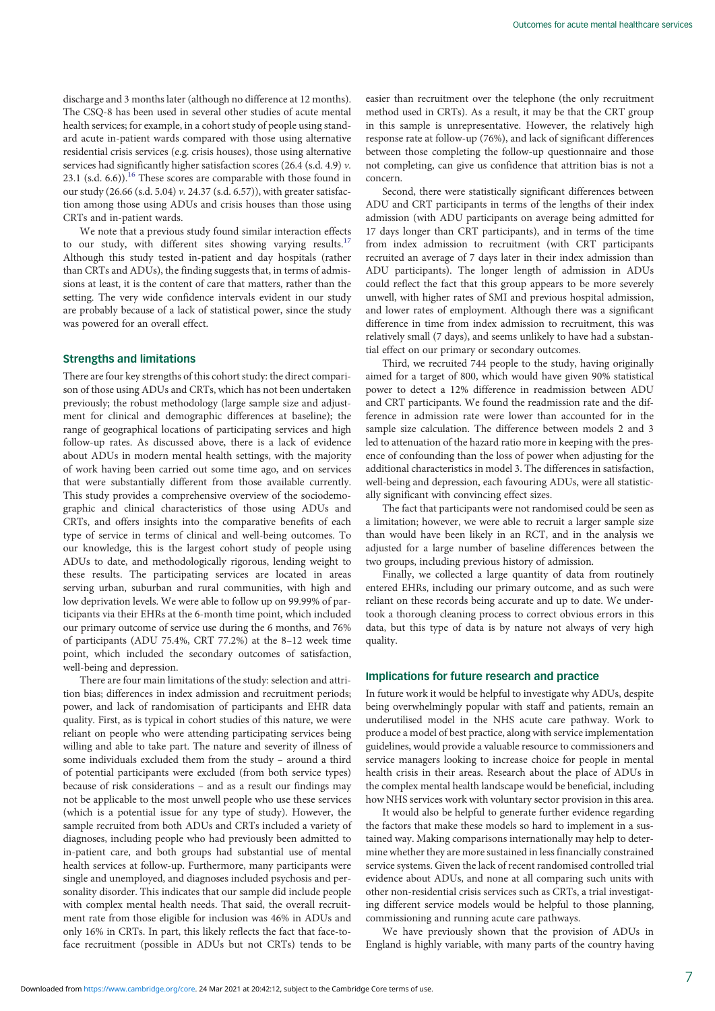discharge and 3 months later (although no difference at 12 months). The CSQ-8 has been used in several other studies of acute mental health services; for example, in a cohort study of people using standard acute in-patient wards compared with those using alternative residential crisis services (e.g. crisis houses), those using alternative services had significantly higher satisfaction scores (26.4 (s.d. 4.9)  $\nu$ . 23.1 (s.d.  $6.6$ )).<sup>16</sup> These scores are comparable with those found in our study (26.66 (s.d. 5.04) v. 24.37 (s.d. 6.57)), with greater satisfaction among those using ADUs and crisis houses than those using CRTs and in-patient wards.

We note that a previous study found similar interaction effects to our study, with different sites showing varying results.<sup>[17](#page-7-0)</sup> Although this study tested in-patient and day hospitals (rather than CRTs and ADUs), the finding suggests that, in terms of admissions at least, it is the content of care that matters, rather than the setting. The very wide confidence intervals evident in our study are probably because of a lack of statistical power, since the study was powered for an overall effect.

# Strengths and limitations

There are four key strengths of this cohort study: the direct comparison of those using ADUs and CRTs, which has not been undertaken previously; the robust methodology (large sample size and adjustment for clinical and demographic differences at baseline); the range of geographical locations of participating services and high follow-up rates. As discussed above, there is a lack of evidence about ADUs in modern mental health settings, with the majority of work having been carried out some time ago, and on services that were substantially different from those available currently. This study provides a comprehensive overview of the sociodemographic and clinical characteristics of those using ADUs and CRTs, and offers insights into the comparative benefits of each type of service in terms of clinical and well-being outcomes. To our knowledge, this is the largest cohort study of people using ADUs to date, and methodologically rigorous, lending weight to these results. The participating services are located in areas serving urban, suburban and rural communities, with high and low deprivation levels. We were able to follow up on 99.99% of participants via their EHRs at the 6-month time point, which included our primary outcome of service use during the 6 months, and 76% of participants (ADU 75.4%, CRT 77.2%) at the 8–12 week time point, which included the secondary outcomes of satisfaction, well-being and depression.

There are four main limitations of the study: selection and attrition bias; differences in index admission and recruitment periods; power, and lack of randomisation of participants and EHR data quality. First, as is typical in cohort studies of this nature, we were reliant on people who were attending participating services being willing and able to take part. The nature and severity of illness of some individuals excluded them from the study – around a third of potential participants were excluded (from both service types) because of risk considerations – and as a result our findings may not be applicable to the most unwell people who use these services (which is a potential issue for any type of study). However, the sample recruited from both ADUs and CRTs included a variety of diagnoses, including people who had previously been admitted to in-patient care, and both groups had substantial use of mental health services at follow-up. Furthermore, many participants were single and unemployed, and diagnoses included psychosis and personality disorder. This indicates that our sample did include people with complex mental health needs. That said, the overall recruitment rate from those eligible for inclusion was 46% in ADUs and only 16% in CRTs. In part, this likely reflects the fact that face-toface recruitment (possible in ADUs but not CRTs) tends to be

easier than recruitment over the telephone (the only recruitment method used in CRTs). As a result, it may be that the CRT group in this sample is unrepresentative. However, the relatively high response rate at follow-up (76%), and lack of significant differences between those completing the follow-up questionnaire and those not completing, can give us confidence that attrition bias is not a concern.

Second, there were statistically significant differences between ADU and CRT participants in terms of the lengths of their index admission (with ADU participants on average being admitted for 17 days longer than CRT participants), and in terms of the time from index admission to recruitment (with CRT participants recruited an average of 7 days later in their index admission than ADU participants). The longer length of admission in ADUs could reflect the fact that this group appears to be more severely unwell, with higher rates of SMI and previous hospital admission, and lower rates of employment. Although there was a significant difference in time from index admission to recruitment, this was relatively small (7 days), and seems unlikely to have had a substantial effect on our primary or secondary outcomes.

Third, we recruited 744 people to the study, having originally aimed for a target of 800, which would have given 90% statistical power to detect a 12% difference in readmission between ADU and CRT participants. We found the readmission rate and the difference in admission rate were lower than accounted for in the sample size calculation. The difference between models 2 and 3 led to attenuation of the hazard ratio more in keeping with the presence of confounding than the loss of power when adjusting for the additional characteristics in model 3. The differences in satisfaction, well-being and depression, each favouring ADUs, were all statistically significant with convincing effect sizes.

The fact that participants were not randomised could be seen as a limitation; however, we were able to recruit a larger sample size than would have been likely in an RCT, and in the analysis we adjusted for a large number of baseline differences between the two groups, including previous history of admission.

Finally, we collected a large quantity of data from routinely entered EHRs, including our primary outcome, and as such were reliant on these records being accurate and up to date. We undertook a thorough cleaning process to correct obvious errors in this data, but this type of data is by nature not always of very high quality.

# Implications for future research and practice

In future work it would be helpful to investigate why ADUs, despite being overwhelmingly popular with staff and patients, remain an underutilised model in the NHS acute care pathway. Work to produce a model of best practice, along with service implementation guidelines, would provide a valuable resource to commissioners and service managers looking to increase choice for people in mental health crisis in their areas. Research about the place of ADUs in the complex mental health landscape would be beneficial, including how NHS services work with voluntary sector provision in this area.

It would also be helpful to generate further evidence regarding the factors that make these models so hard to implement in a sustained way. Making comparisons internationally may help to determine whether they are more sustained in less financially constrained service systems. Given the lack of recent randomised controlled trial evidence about ADUs, and none at all comparing such units with other non-residential crisis services such as CRTs, a trial investigating different service models would be helpful to those planning, commissioning and running acute care pathways.

We have previously shown that the provision of ADUs in England is highly variable, with many parts of the country having